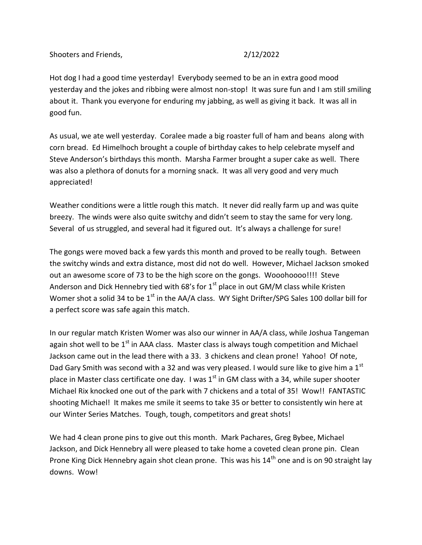Shooters and Friends, 2/12/2022

Hot dog I had a good time yesterday! Everybody seemed to be an in extra good mood yesterday and the jokes and ribbing were almost non-stop! It was sure fun and I am still smiling about it. Thank you everyone for enduring my jabbing, as well as giving it back. It was all in good fun.

As usual, we ate well yesterday. Coralee made a big roaster full of ham and beans along with corn bread. Ed Himelhoch brought a couple of birthday cakes to help celebrate myself and Steve Anderson's birthdays this month. Marsha Farmer brought a super cake as well. There was also a plethora of donuts for a morning snack. It was all very good and very much appreciated!

Weather conditions were a little rough this match. It never did really farm up and was quite breezy. The winds were also quite switchy and didn't seem to stay the same for very long. Several of us struggled, and several had it figured out. It's always a challenge for sure!

The gongs were moved back a few yards this month and proved to be really tough. Between the switchy winds and extra distance, most did not do well. However, Michael Jackson smoked out an awesome score of 73 to be the high score on the gongs. Wooohoooo!!!! Steve Anderson and Dick Hennebry tied with 68's for  $1<sup>st</sup>$  place in out GM/M class while Kristen Womer shot a solid 34 to be  $1<sup>st</sup>$  in the AA/A class. WY Sight Drifter/SPG Sales 100 dollar bill for a perfect score was safe again this match.

In our regular match Kristen Womer was also our winner in AA/A class, while Joshua Tangeman again shot well to be  $1<sup>st</sup>$  in AAA class. Master class is always tough competition and Michael Jackson came out in the lead there with a 33. 3 chickens and clean prone! Yahoo! Of note, Dad Gary Smith was second with a 32 and was very pleased. I would sure like to give him a  $1<sup>st</sup>$ place in Master class certificate one day. I was  $1<sup>st</sup>$  in GM class with a 34, while super shooter Michael Rix knocked one out of the park with 7 chickens and a total of 35! Wow!! FANTASTIC shooting Michael! It makes me smile it seems to take 35 or better to consistently win here at our Winter Series Matches. Tough, tough, competitors and great shots!

We had 4 clean prone pins to give out this month. Mark Pachares, Greg Bybee, Michael Jackson, and Dick Hennebry all were pleased to take home a coveted clean prone pin. Clean Prone King Dick Hennebry again shot clean prone. This was his 14<sup>th</sup> one and is on 90 straight lay downs. Wow!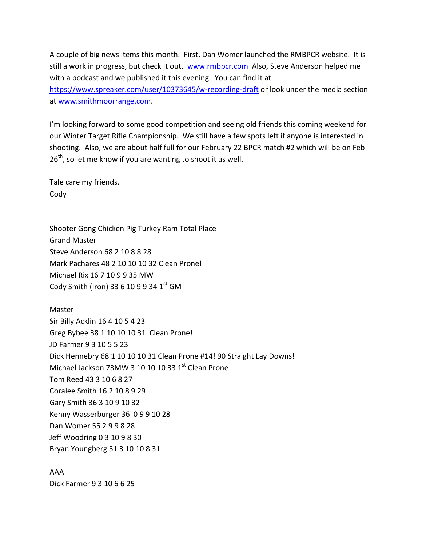A couple of big news items this month. First, Dan Womer launched the RMBPCR website. It is still a work in progress, but check It out. [www.rmbpcr.com](http://www.rmbpcr.com/) Also, Steve Anderson helped me with a podcast and we published it this evening. You can find it at <https://www.spreaker.com/user/10373645/w-recording-draft> or look under the media section at [www.smithmoorrange.com.](http://www.smithmoorrange.com/)

I'm looking forward to some good competition and seeing old friends this coming weekend for our Winter Target Rifle Championship. We still have a few spots left if anyone is interested in shooting. Also, we are about half full for our February 22 BPCR match #2 which will be on Feb  $26<sup>th</sup>$ , so let me know if you are wanting to shoot it as well.

Tale care my friends, Cody

Shooter Gong Chicken Pig Turkey Ram Total Place Grand Master Steve Anderson 68 2 10 8 8 28 Mark Pachares 48 2 10 10 10 32 Clean Prone! Michael Rix 16 7 10 9 9 35 MW Cody Smith (Iron) 33 6 10 9 9 34  $1<sup>st</sup>$  GM

Master Sir Billy Acklin 16 4 10 5 4 23 Greg Bybee 38 1 10 10 10 31 Clean Prone! JD Farmer 9 3 10 5 5 23 Dick Hennebry 68 1 10 10 10 31 Clean Prone #14! 90 Straight Lay Downs! Michael Jackson 73MW 3 10 10 10 33 1st Clean Prone Tom Reed 43 3 10 6 8 27 Coralee Smith 16 2 10 8 9 29 Gary Smith 36 3 10 9 10 32 Kenny Wasserburger 36 0 9 9 10 28 Dan Womer 55 2 9 9 8 28 Jeff Woodring 0 3 10 9 8 30 Bryan Youngberg 51 3 10 10 8 31

AAA Dick Farmer 9 3 10 6 6 25